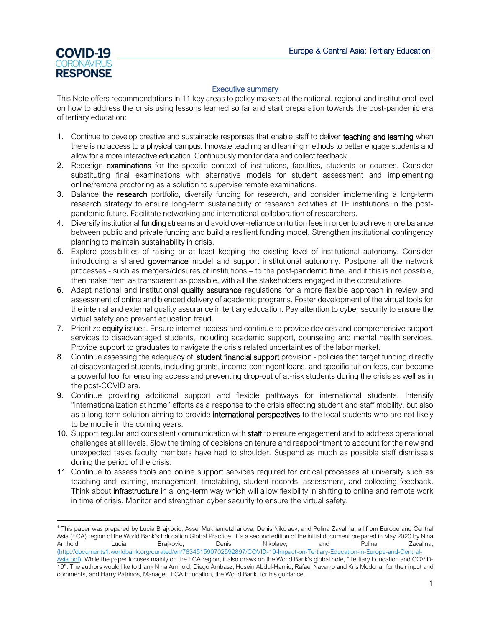

#### Executive summary

This Note offers recommendations in 11 key areas to policy makers at the national, regional and institutional level on how to address the crisis using lessons learned so far and start preparation towards the post-pandemic era of tertiary education:

- 1. Continue to develop creative and sustainable responses that enable staff to deliver **teaching and learning** when there is no access to a physical campus. Innovate teaching and learning methods to better engage students and allow for a more interactive education. Continuously monitor data and collect feedback.
- 2. Redesign examinations for the specific context of institutions, faculties, students or courses. Consider substituting final examinations with alternative models for student assessment and implementing online/remote proctoring as a solution to supervise remote examinations.
- 3. Balance the research portfolio, diversify funding for research, and consider implementing a long-term research strategy to ensure long-term sustainability of research activities at TE institutions in the postpandemic future. Facilitate networking and international collaboration of researchers.
- 4. Diversify institutional funding streams and avoid over-reliance on tuition fees in order to achieve more balance between public and private funding and build a resilient funding model. Strengthen institutional contingency planning to maintain sustainability in crisis.
- 5. Explore possibilities of raising or at least keeping the existing level of institutional autonomy. Consider introducing a shared governance model and support institutional autonomy. Postpone all the network processes - such as mergers/closures of institutions – to the post-pandemic time, and if this is not possible, then make them as transparent as possible, with all the stakeholders engaged in the consultations.
- 6. Adapt national and institutional quality assurance regulations for a more flexible approach in review and assessment of online and blended delivery of academic programs. Foster development of the virtual tools for the internal and external quality assurance in tertiary education. Pay attention to cyber security to ensure the virtual safety and prevent education fraud.
- 7. Prioritize equity issues. Ensure internet access and continue to provide devices and comprehensive support services to disadvantaged students, including academic support, counseling and mental health services. Provide support to graduates to navigate the crisis related uncertainties of the labor market.
- 8. Continue assessing the adequacy of **student financial support** provision policies that target funding directly at disadvantaged students, including grants, income-contingent loans, and specific tuition fees, can become a powerful tool for ensuring access and preventing drop-out of at-risk students during the crisis as well as in the post-COVID era.
- 9. Continue providing additional support and flexible pathways for international students. Intensify "internationalization at home" efforts as a response to the crisis affecting student and staff mobility, but also as a long-term solution aiming to provide international perspectives to the local students who are not likely to be mobile in the coming years.
- 10. Support regular and consistent communication with staff to ensure engagement and to address operational challenges at all levels. Slow the timing of decisions on tenure and reappointment to account for the new and unexpected tasks faculty members have had to shoulder. Suspend as much as possible staff dismissals during the period of the crisis.
- 11. Continue to assess tools and online support services required for critical processes at university such as teaching and learning, management, timetabling, student records, assessment, and collecting feedback. Think about infrastructure in a long-term way which will allow flexibility in shifting to online and remote work in time of crisis. Monitor and strengthen cyber security to ensure the virtual safety.

<span id="page-0-0"></span><sup>1</sup> This paper was prepared by Lucia Brajkovic, Assel Mukhametzhanova, Denis Nikolaev, and Polina Zavalina, all from Europe and Central Asia (ECA) region of the World Bank's Education Global Practice. It is a second edition of the initial document prepared in May 2020 by Nina<br>Arnhold, https://www.benis.com/wikolaev, and polina zavalina, Arnhold, Lucia Brajkovic, Denis Nikolaev, and Polina Zavalina, [\(http://documents1.worldbank.org/curated/en/783451590702592897/COVID-19-Impact-on-Tertiary-Education-in-Europe-and-Central-](http://documents1.worldbank.org/curated/en/783451590702592897/COVID-19-Impact-on-Tertiary-Education-in-Europe-and-Central-Asia.pdf)[Asia.pdf\)](http://documents1.worldbank.org/curated/en/783451590702592897/COVID-19-Impact-on-Tertiary-Education-in-Europe-and-Central-Asia.pdf). While the paper focuses mainly on the ECA region, it also draws on the World Bank's global note, "Tertiary Education and COVID-

<sup>19&</sup>quot;. The authors would like to thank Nina Arnhold, Diego Ambasz, Husein Abdul-Hamid, Rafael Navarro and Kris Mcdonall for their input and comments, and Harry Patrinos, Manager, ECA Education, the World Bank, for his guidance.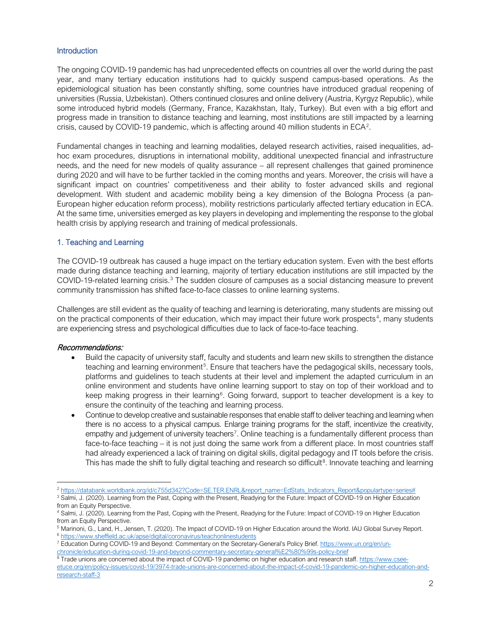## **Introduction**

The ongoing COVID-19 pandemic has had unprecedented effects on countries all over the world during the past year, and many tertiary education institutions had to quickly suspend campus-based operations. As the epidemiological situation has been constantly shifting, some countries have introduced gradual reopening of universities (Russia, Uzbekistan). Others continued closures and online delivery (Austria, Kyrgyz Republic), while some introduced hybrid models (Germany, France, Kazakhstan, Italy, Turkey). But even with a big effort and progress made in transition to distance teaching and learning, most institutions are still impacted by a learning crisis, caused by COVID-19 pandemic, which is affecting around 40 million students in  $ECA<sup>2</sup>$  $ECA<sup>2</sup>$  $ECA<sup>2</sup>$ .

Fundamental changes in teaching and learning modalities, delayed research activities, raised inequalities, adhoc exam procedures, disruptions in international mobility, additional unexpected financial and infrastructure needs, and the need for new models of quality assurance – all represent challenges that gained prominence during 2020 and will have to be further tackled in the coming months and years. Moreover, the crisis will have a significant impact on countries' competitiveness and their ability to foster advanced skills and regional development. With student and academic mobility being a key dimension of the Bologna Process (a pan-European higher education reform process), mobility restrictions particularly affected tertiary education in ECA. At the same time, universities emerged as key players in developing and implementing the response to the global health crisis by applying research and training of medical professionals.

## 1. Teaching and Learning

The COVID-19 outbreak has caused a huge impact on the tertiary education system. Even with the best efforts made during distance teaching and learning, majority of tertiary education institutions are still impacted by the COVID-19-related learning crisis.[3](#page-1-1) The sudden closure of campuses as a social distancing measure to prevent community transmission has shifted face-to-face classes to online learning systems.

Challenges are still evident as the quality of teaching and learning is deteriorating, many students are missing out on the practical components of their education, which may impact their future work prospects<sup>[4](#page-1-2)</sup>, many students are experiencing stress and psychological difficulties due to lack of face-to-face teaching.

- Build the capacity of university staff, faculty and students and learn new skills to strengthen the distance teaching and learning environment<sup>[5](#page-1-3)</sup>. Ensure that teachers have the pedagogical skills, necessary tools, platforms and guidelines to teach students at their level and implement the adapted curriculum in an online environment and students have online learning support to stay on top of their workload and to keep making progress in their learning<sup>[6](#page-1-4)</sup>. Going forward, support to teacher development is a key to ensure the continuity of the teaching and learning process.
- Continue to develop creative and sustainable responses that enable staff to deliver teaching and learning when there is no access to a physical campus. Enlarge training programs for the staff, incentivize the creativity, empathy and judgement of university teachers<sup>[7](#page-1-5)</sup>. Online teaching is a fundamentally different process than face-to-face teaching – it is not just doing the same work from a different place. In most countries staff had already experienced a lack of training on digital skills, digital pedagogy and IT tools before the crisis. This has made the shift to fully digital teaching and research so difficult<sup>[8](#page-1-6)</sup>. Innovate teaching and learning

<span id="page-1-0"></span><sup>&</sup>lt;sup>2</sup> [https://databank.worldbank.org/id/c755d342?Code=SE.TER.ENRL&report\\_name=EdStats\\_Indicators\\_Report&populartype=series#](https://databank.worldbank.org/id/c755d342?Code=SE.TER.ENRL&report_name=EdStats_Indicators_Report&populartype=series)

<span id="page-1-1"></span><sup>&</sup>lt;sup>3</sup> Salmi, J. (2020). Learning from the Past, Coping with the Present, Readying for the Future: Impact of COVID-19 on Higher Education from an Equity Perspective.

<span id="page-1-2"></span><sup>&</sup>lt;sup>4</sup> Salmi, J. (2020). Learning from the Past, Coping with the Present, Readying for the Future: Impact of COVID-19 on Higher Education from an Equity Perspective.

<span id="page-1-3"></span> $^5$  Marinoni, G., Land, H., Jensen, T. (2020). The Impact of COVID-19 on Higher Education around the World. IAU Global Survey Report.  $^6$  <https://www.sheffield.ac.uk/apse/digital/coronavirus/teachonlinestudents>

<span id="page-1-5"></span><span id="page-1-4"></span><sup>7</sup> Education During COVID-19 and Beyond: Commentary on the Secretary-General's Policy Brief[. https://www.un.org/en/un-](https://www.un.org/en/un-chronicle/education-during-covid-19-and-beyond-commentary-secretary-general%E2%80%99s-policy-brief)

[chronicle/education-during-covid-19-and-beyond-commentary-secretary-general%E2%80%99s-policy-brief](https://www.un.org/en/un-chronicle/education-during-covid-19-and-beyond-commentary-secretary-general%E2%80%99s-policy-brief)

<span id="page-1-6"></span> $8$  Trade unions are concerned about the impact of COVID-19 pandemic on higher education and research staff. [https://www.csee](https://www.csee-etuce.org/en/policy-issues/covid-19/3974-trade-unions-are-concerned-about-the-impact-of-covid-19-pandemic-on-higher-education-and-research-staff-3)[etuce.org/en/policy-issues/covid-19/3974-trade-unions-are-concerned-about-the-impact-of-covid-19-pandemic-on-higher-education-and](https://www.csee-etuce.org/en/policy-issues/covid-19/3974-trade-unions-are-concerned-about-the-impact-of-covid-19-pandemic-on-higher-education-and-research-staff-3)[research-staff-3](https://www.csee-etuce.org/en/policy-issues/covid-19/3974-trade-unions-are-concerned-about-the-impact-of-covid-19-pandemic-on-higher-education-and-research-staff-3)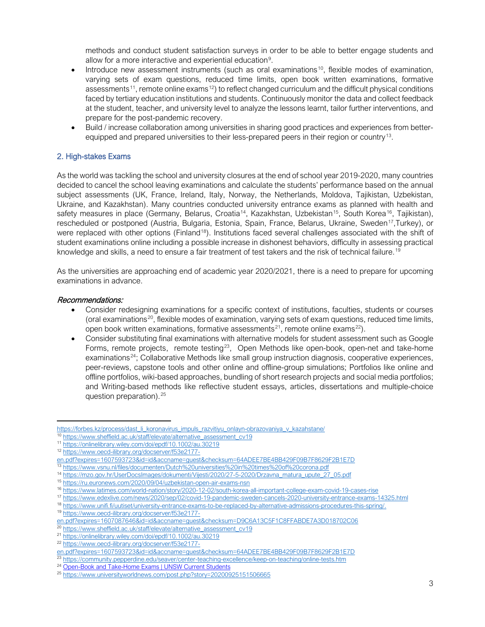methods and conduct student satisfaction surveys in order to be able to better engage students and allow for a more interactive and experiential education<sup>[9](#page-2-0)</sup>.

- Introduce new assessment instruments (such as oral examinations<sup>[10](#page-2-1)</sup>, flexible modes of examination, varying sets of exam questions, reduced time limits, open book written examinations, formative assessments<sup>11</sup>, remote online exams<sup>[12](#page-2-3)</sup>) to reflect changed curriculum and the difficult physical conditions faced by tertiary education institutions and students. Continuously monitor the data and collect feedback at the student, teacher, and university level to analyze the lessons learnt, tailor further interventions, and prepare for the post-pandemic recovery.
- Build / increase collaboration among universities in sharing good practices and experiences from better-equipped and prepared universities to their less-prepared peers in their region or country<sup>[13](#page-2-4)</sup>.

## 2. High-stakes Exams

As the world was tackling the school and university closures at the end of school year 2019-2020, many countries decided to cancel the school leaving examinations and calculate the students' performance based on the annual subject assessments (UK, France, Ireland, Italy, Norway, the Netherlands, Moldova, Tajikistan, Uzbekistan, Ukraine, and Kazakhstan). Many countries conducted university entrance exams as planned with health and safety measures in place (Germany, Belarus, Croatia<sup>[14](#page-2-5)</sup>, Kazakhstan, Uzbekistan<sup>[15](#page-2-6)</sup>, South Korea<sup>[16](#page-2-7)</sup>, Tajikistan), rescheduled or postponed (Austria, Bulgaria, Estonia, Spain, France, Belarus, Ukraine, Sweden<sup>17</sup>,Turkey), or were replaced with other options (Finland<sup>[18](#page-2-9)</sup>). Institutions faced several challenges associated with the shift of student examinations online including a possible increase in dishonest behaviors, difficulty in assessing practical knowledge and skills, a need to ensure a fair treatment of test takers and the risk of technical failure.<sup>[19](#page-2-10)</sup>

As the universities are approaching end of academic year 2020/2021, there is a need to prepare for upcoming examinations in advance.

- Consider redesigning examinations for a specific context of institutions, faculties, students or courses (oral examinations[20](#page-2-11), flexible modes of examination, varying sets of exam questions, reduced time limits, open book written examinations, formative assessments<sup>[21](#page-2-12)</sup>, remote online exams<sup>22</sup>).
- Consider substituting final examinations with alternative models for student assessment such as Google Forms, remote projects, remote testing<sup>23</sup>, Open Methods like open-book, open-net and take-home examinations<sup>24</sup>; Collaborative Methods like small group instruction diagnosis, cooperative experiences, peer-reviews, capstone tools and other online and offline-group simulations; Portfolios like online and offline portfolios, wiki-based approaches, bundling of short research projects and social media portfolios; and Writing-based methods like reflective student essays, articles, dissertations and multiple-choice question preparation).[25](#page-2-16)

<span id="page-2-1"></span><span id="page-2-0"></span>[https://forbes.kz/process/dast\\_li\\_koronavirus\\_impuls\\_razvitiyu\\_onlayn-obrazovaniya\\_v\\_kazahstane/](https://forbes.kz/process/dast_li_koronavirus_impuls_razvitiyu_onlayn-obrazovaniya_v_kazahstane/)

<sup>&</sup>lt;sup>10</sup> [https://www.sheffield.ac.uk/staff/elevate/alternative\\_assessment\\_cv19](https://www.sheffield.ac.uk/staff/elevate/alternative_assessment_cv19)

<span id="page-2-2"></span><sup>11</sup> <https://onlinelibrary.wiley.com/doi/epdf/10.1002/au.30219>

<span id="page-2-3"></span><sup>12</sup> [https://www.oecd-ilibrary.org/docserver/f53e2177-](https://www.oecd-ilibrary.org/docserver/f53e2177-en.pdf?expires=1607593723&id=id&accname=guest&checksum=64ADEE7BE4BB429F09B7F8629F2B1E7D)

[en.pdf?expires=1607593723&id=id&accname=guest&checksum=64ADEE7BE4BB429F09B7F8629F2B1E7D](https://www.oecd-ilibrary.org/docserver/f53e2177-en.pdf?expires=1607593723&id=id&accname=guest&checksum=64ADEE7BE4BB429F09B7F8629F2B1E7D)

<span id="page-2-4"></span><sup>13</sup> <https://www.vsnu.nl/files/documenten/Dutch%20universities%20in%20times%20of%20corona.pdf>

<span id="page-2-5"></span><sup>14</sup> [https://mzo.gov.hr/UserDocsImages/dokumenti/Vijesti/2020/27-5-2020/Drzavna\\_matura\\_upute\\_27\\_05.pdf](https://mzo.gov.hr/UserDocsImages/dokumenti/Vijesti/2020/27-5-2020/Drzavna_matura_upute_27_05.pdf)

<span id="page-2-6"></span><sup>15</sup> <https://ru.euronews.com/2020/09/04/uzbekistan-open-air-exams-nsn>

<span id="page-2-7"></span><sup>16</sup> <https://www.latimes.com/world-nation/story/2020-12-02/south-korea-all-important-college-exam-covid-19-cases-rise>

<span id="page-2-9"></span><span id="page-2-8"></span><sup>17</sup> <https://www.edexlive.com/news/2020/sep/02/covid-19-pandemic-sweden-cancels-2020-university-entrance-exams-14325.html> <sup>18</sup> [https://www.unifi.fi/uutiset/university-entrance-exams-to-be-replaced-by-alternative-admissions-procedures-this-spring/.](https://www.unifi.fi/uutiset/university-entrance-exams-to-be-replaced-by-alternative-admissions-procedures-this-spring/) 1[9](https://www.oecd-ilibrary.org/docserver/f53e2177-en.pdf?expires=1607087646&id=id&accname=guest&checksum=D9C6A13C5F1C8FFABDE7A3D018702C06) https://www.oecd-ilibrary.org/docserver/f53e2177-

<span id="page-2-10"></span>[en.pdf?expires=1607087646&id=id&accname=guest&checksum=D9C6A13C5F1C8FFABDE7A3D018702C06](https://www.oecd-ilibrary.org/docserver/f53e2177-en.pdf?expires=1607087646&id=id&accname=guest&checksum=D9C6A13C5F1C8FFABDE7A3D018702C06)

<sup>20</sup> [https://www.sheffield.ac.uk/staff/elevate/alternative\\_assessment\\_cv19](https://www.sheffield.ac.uk/staff/elevate/alternative_assessment_cv19)

<span id="page-2-12"></span><span id="page-2-11"></span><sup>21</sup> <https://onlinelibrary.wiley.com/doi/epdf/10.1002/au.30219>

<span id="page-2-13"></span><sup>22</sup> [https://www.oecd-ilibrary.org/docserver/f53e2177-](https://www.oecd-ilibrary.org/docserver/f53e2177-en.pdf?expires=1607593723&id=id&accname=guest&checksum=64ADEE7BE4BB429F09B7F8629F2B1E7D)

[en.pdf?expires=1607593723&id=id&accname=guest&checksum=64ADEE7BE4BB429F09B7F8629F2B1E7D](https://www.oecd-ilibrary.org/docserver/f53e2177-en.pdf?expires=1607593723&id=id&accname=guest&checksum=64ADEE7BE4BB429F09B7F8629F2B1E7D)

<span id="page-2-14"></span><sup>&</sup>lt;sup>23</sup> <https://community.pepperdine.edu/seaver/center-teaching-excellence/keep-on-teaching/online-tests.htm>

<sup>&</sup>lt;sup>24</sup> [Open-Book and Take-Home Exams | UNSW Current Students](https://student.unsw.edu.au/open-book-and-take-home-exams)

<span id="page-2-16"></span><span id="page-2-15"></span><sup>25</sup> <https://www.universityworldnews.com/post.php?story=20200925151506665>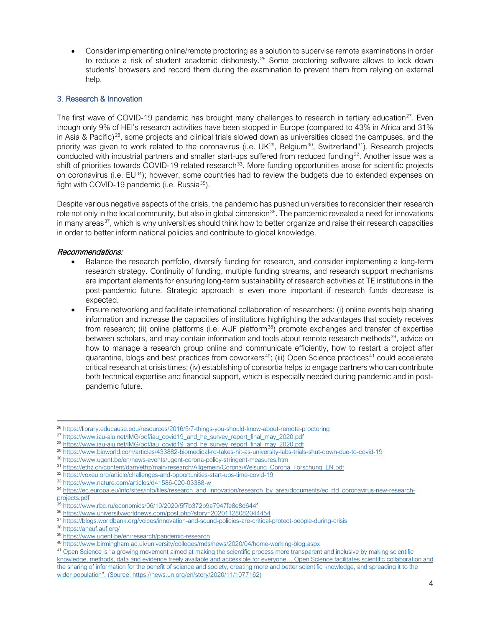• Consider implementing online/remote proctoring as a solution to supervise remote examinations in order to reduce a risk of student academic dishonesty.<sup>[26](#page-3-0)</sup> Some proctoring software allows to lock down students' browsers and record them during the examination to prevent them from relying on external help.

## 3. Research & Innovation

The first wave of COVID-19 pandemic has brought many challenges to research in tertiary education<sup>27</sup>. Even though only 9% of HEI's research activities have been stopped in Europe (compared to 43% in Africa and 31% in Asia & Pacific)<sup>28</sup>, some projects and clinical trials slowed down as universities closed the campuses, and the priority was given to work related to the coronavirus (i.e. UK<sup>29</sup>, Belgium<sup>[30](#page-3-4)</sup>, Switzerland<sup>[31](#page-3-5)</sup>). Research projects conducted with industrial partners and smaller start-ups suffered from reduced funding<sup>32</sup>. Another issue was a shift of priorities towards COVID-19 related research<sup>[33](#page-3-7)</sup>. More funding opportunities arose for scientific projects on coronavirus (i.e.  $EU^{34}$  $EU^{34}$  $EU^{34}$ ); however, some countries had to review the budgets due to extended expenses on fight with COVID-19 pandemic (i.e. Russia $^{35}$  $^{35}$  $^{35}$ ).

Despite various negative aspects of the crisis, the pandemic has pushed universities to reconsider their research role not only in the local community, but also in global dimension $36$ . The pandemic revealed a need for innovations in many areas $37$ , which is why universities should think how to better organize and raise their research capacities in order to better inform national policies and contribute to global knowledge.

- Balance the research portfolio, diversify funding for research, and consider implementing a long-term research strategy. Continuity of funding, multiple funding streams, and research support mechanisms are important elements for ensuring long-term sustainability of research activities at TE institutions in the post-pandemic future. Strategic approach is even more important if research funds decrease is expected.
- Ensure networking and facilitate international collaboration of researchers: (i) online events help sharing information and increase the capacities of institutions highlighting the advantages that society receives from research; (ii) online platforms (i.e. AUF platform $38$ ) promote exchanges and transfer of expertise between scholars, and may contain information and tools about remote research methods $39$ , advice on how to manage a research group online and communicate efficiently, how to restart a project after quarantine, blogs and best practices from coworkers<sup>40</sup>; (iii) Open Science practices<sup>[41](#page-3-15)</sup> could accelerate critical research at crisis times; (iv) establishing of consortia helps to engage partners who can contribute both technical expertise and financial support, which is especially needed during pandemic and in postpandemic future.

<span id="page-3-0"></span><sup>26</sup> <https://library.educause.edu/resources/2016/5/7-things-you-should-know-about-remote-proctoring>

<span id="page-3-1"></span><sup>27</sup> [https://www.iau-aiu.net/IMG/pdf/iau\\_covid19\\_and\\_he\\_survey\\_report\\_final\\_may\\_2020.pdf](https://www.iau-aiu.net/IMG/pdf/iau_covid19_and_he_survey_report_final_may_2020.pdf)

<span id="page-3-2"></span><sup>&</sup>lt;sup>28</sup> [https://www.iau-aiu.net/IMG/pdf/iau\\_covid19\\_and\\_he\\_survey\\_report\\_final\\_may\\_2020.pdf](https://www.iau-aiu.net/IMG/pdf/iau_covid19_and_he_survey_report_final_may_2020.pdf)

<span id="page-3-3"></span><sup>29</sup> <https://www.bioworld.com/articles/433882-biomedical-rd-takes-hit-as-university-labs-trials-shut-down-due-to-covid-19>

<span id="page-3-5"></span><span id="page-3-4"></span><sup>&</sup>lt;sup>30</sup> <https://www.ugent.be/en/news-events/ugent-corona-policy-stringent-measures.htm>

<sup>31</sup> [https://ethz.ch/content/dam/ethz/main/research/Allgemein/Corona/Weisung\\_Corona\\_Forschung\\_EN.pdf](https://ethz.ch/content/dam/ethz/main/research/Allgemein/Corona/Weisung_Corona_Forschung_EN.pdf)

<span id="page-3-6"></span><sup>32</sup> <https://voxeu.org/article/challenges-and-opportunities-start-ups-time-covid-19>

<span id="page-3-7"></span><sup>33</sup> <https://www.nature.com/articles/d41586-020-03388-w>

<span id="page-3-8"></span><sup>34</sup> [https://ec.europa.eu/info/sites/info/files/research\\_and\\_innovation/research\\_by\\_area/documents/ec\\_rtd\\_coronavirus-new-research](https://ec.europa.eu/info/sites/info/files/research_and_innovation/research_by_area/documents/ec_rtd_coronavirus-new-research-projects.pdf)[projects.pdf](https://ec.europa.eu/info/sites/info/files/research_and_innovation/research_by_area/documents/ec_rtd_coronavirus-new-research-projects.pdf)

<span id="page-3-9"></span><sup>35</sup> <https://www.rbc.ru/economics/06/10/2020/5f7b372b9a7947fe8e8d644f>

<span id="page-3-10"></span><sup>36</sup> <https://www.universityworldnews.com/post.php?story=20201128082044454>

<span id="page-3-11"></span><sup>37</sup> <https://blogs.worldbank.org/voices/innovation-and-sound-policies-are-critical-protect-people-during-crisis>

<span id="page-3-12"></span><sup>38</sup> <https://aneuf.auf.org/>

<sup>39</sup> <https://www.ugent.be/en/research/pandemic-research>

<span id="page-3-14"></span><span id="page-3-13"></span><sup>40</sup> <https://www.birmingham.ac.uk/university/colleges/mds/news/2020/04/home-working-blog.aspx>

<span id="page-3-15"></span><sup>&</sup>lt;sup>41</sup> Open Science is "a growing movement aimed at making the scientific process more transparent and inclusive by making scientific knowledge, methods, data and evidence freely available and accessible for everyone… Open Science facilitates scientific collaboration and the sharing of information for the benefit of science and society, creating more and better scientific knowledge, and spreading it to the wider population". (Source: https://news.un.org/en/story/2020/11/1077162)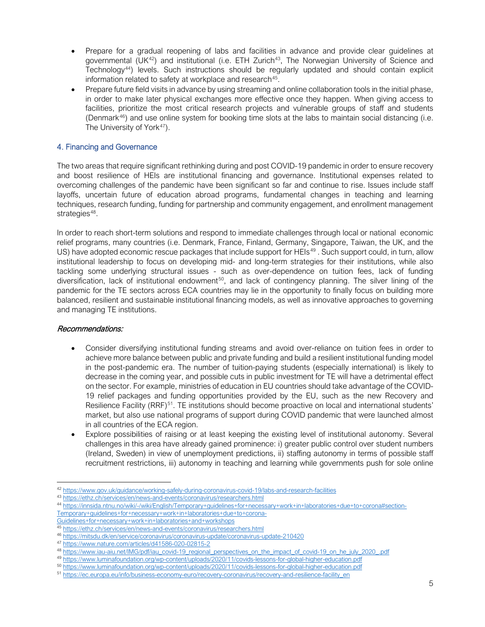- Prepare for a gradual reopening of labs and facilities in advance and provide clear guidelines at governmental (UK<sup>42</sup>) and institutional (i.e. ETH Zurich<sup>[43](#page-4-1)</sup>, The Norwegian University of Science and Technology[44\)](#page-4-2) levels. Such instructions should be regularly updated and should contain explicit information related to safety at workplace and research<sup>45</sup>.
- Prepare future field visits in advance by using streaming and online collaboration tools in the initial phase, in order to make later physical exchanges more effective once they happen. When giving access to facilities, prioritize the most critical research projects and vulnerable groups of staff and students (Denmark[46\)](#page-4-4) and use online system for booking time slots at the labs to maintain social distancing (i.e. The University of York<sup>47</sup>).

## 4. Financing and Governance

The two areas that require significant rethinking during and post COVID-19 pandemic in order to ensure recovery and boost resilience of HEIs are institutional financing and governance. Institutional expenses related to overcoming challenges of the pandemic have been significant so far and continue to rise. Issues include staff layoffs, uncertain future of education abroad programs, fundamental changes in teaching and learning techniques, research funding, funding for partnership and community engagement, and enrollment management strategies<sup>[48](#page-4-6)</sup>.

In order to reach short-term solutions and respond to immediate challenges through local or national economic relief programs, many countries (i.e. Denmark, France, Finland, Germany, Singapore, Taiwan, the UK, and the US) have adopted economic rescue packages that include support for HEIs<sup>[49](#page-4-7)</sup>. Such support could, in turn, allow institutional leadership to focus on developing mid- and long-term strategies for their institutions, while also tackling some underlying structural issues - such as over-dependence on tuition fees, lack of funding diversification, lack of institutional endowment<sup>50</sup>, and lack of contingency planning. The silver lining of the pandemic for the TE sectors across ECA countries may lie in the opportunity to finally focus on building more balanced, resilient and sustainable institutional financing models, as well as innovative approaches to governing and managing TE institutions.

- Consider diversifying institutional funding streams and avoid over-reliance on tuition fees in order to achieve more balance between public and private funding and build a resilient institutional funding model in the post-pandemic era. The number of tuition-paying students (especially international) is likely to decrease in the coming year, and possible cuts in public investment for TE will have a detrimental effect on the sector. For example, ministries of education in EU countries should take advantage of the COVID-19 relief packages and funding opportunities provided by the EU, such as the new Recovery and Resilience Facility (RRF)<sup>[51](#page-4-9)</sup>. TE institutions should become proactive on local and international students' market, but also use national programs of support during COVID pandemic that were launched almost in all countries of the ECA region.
- Explore possibilities of raising or at least keeping the existing level of institutional autonomy. Several challenges in this area have already gained prominence: i) greater public control over student numbers (Ireland, Sweden) in view of unemployment predictions, ii) staffing autonomy in terms of possible staff recruitment restrictions, iii) autonomy in teaching and learning while governments push for sole online

<span id="page-4-0"></span><sup>42</sup> <https://www.gov.uk/guidance/working-safely-during-coronavirus-covid-19/labs-and-research-facilities>

<span id="page-4-1"></span><sup>43</sup> <https://ethz.ch/services/en/news-and-events/coronavirus/researchers.html>

<span id="page-4-2"></span><sup>44</sup> [https://innsida.ntnu.no/wiki/-/wiki/English/Temporary+guidelines+for+necessary+work+in+laboratories+due+to+corona#section-](https://innsida.ntnu.no/wiki/-/wiki/English/Temporary+guidelines+for+necessary+work+in+laboratories+due+to+corona#section-Temporary+guidelines+for+necessary+work+in+laboratories+due+to+corona-Guidelines+for+necessary+work+in+laboratories+and+workshops)

[Temporary+guidelines+for+necessary+work+in+laboratories+due+to+corona-](https://innsida.ntnu.no/wiki/-/wiki/English/Temporary+guidelines+for+necessary+work+in+laboratories+due+to+corona#section-Temporary+guidelines+for+necessary+work+in+laboratories+due+to+corona-Guidelines+for+necessary+work+in+laboratories+and+workshops)

<span id="page-4-3"></span>[Guidelines+for+necessary+work+in+laboratories+and+workshops](https://innsida.ntnu.no/wiki/-/wiki/English/Temporary+guidelines+for+necessary+work+in+laboratories+due+to+corona#section-Temporary+guidelines+for+necessary+work+in+laboratories+due+to+corona-Guidelines+for+necessary+work+in+laboratories+and+workshops)

<sup>45</sup> <https://ethz.ch/services/en/news-and-events/coronavirus/researchers.html>

<span id="page-4-4"></span><sup>46</sup> <https://mitsdu.dk/en/service/coronavirus/coronavirus-update/coronavirus-update-210420>

<span id="page-4-5"></span><sup>47</sup> <https://www.nature.com/articles/d41586-020-02815-2>

<span id="page-4-6"></span><sup>48</sup> [https://www.iau-aiu.net/IMG/pdf/iau\\_covid-19\\_regional\\_perspectives\\_on\\_the\\_impact\\_of\\_covid-19\\_on\\_he\\_july\\_2020\\_.pdf](https://www.iau-aiu.net/IMG/pdf/iau_covid-19_regional_perspectives_on_the_impact_of_covid-19_on_he_july_2020_.pdf)

<sup>49</sup> <https://www.luminafoundation.org/wp-content/uploads/2020/11/covids-lessons-for-global-higher-education.pdf>

<span id="page-4-9"></span><span id="page-4-8"></span><span id="page-4-7"></span><sup>50</sup> <https://www.luminafoundation.org/wp-content/uploads/2020/11/covids-lessons-for-global-higher-education.pdf>

<sup>51</sup> [https://ec.europa.eu/info/business-economy-euro/recovery-coronavirus/recovery-and-resilience-facility\\_en](https://ec.europa.eu/info/business-economy-euro/recovery-coronavirus/recovery-and-resilience-facility_en)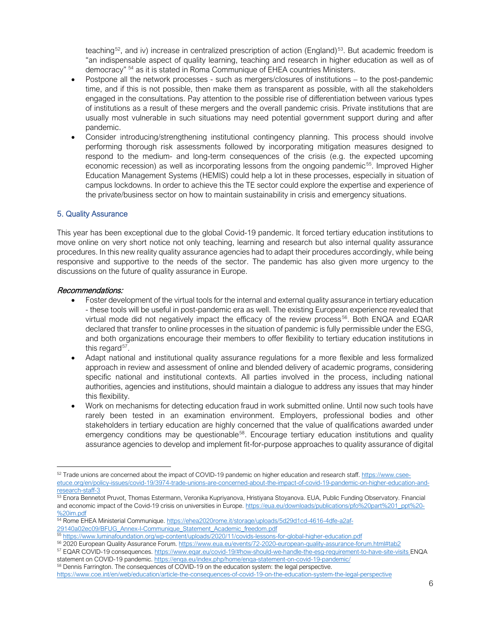teaching<sup>[52](#page-5-0)</sup>, and iv) increase in centralized prescription of action (England)<sup>[53](#page-5-1)</sup>. But academic freedom is "an indispensable aspect of quality learning, teaching and research in higher education as well as of democracy" [54](#page-5-2) as it is stated in Roma Communique of EHEA countries Ministers.

- Postpone all the network processes such as mergers/closures of institutions to the post-pandemic time, and if this is not possible, then make them as transparent as possible, with all the stakeholders engaged in the consultations. Pay attention to the possible rise of differentiation between various types of institutions as a result of these mergers and the overall pandemic crisis. Private institutions that are usually most vulnerable in such situations may need potential government support during and after pandemic.
- Consider introducing/strengthening institutional contingency planning. This process should involve performing thorough risk assessments followed by incorporating mitigation measures designed to respond to the medium- and long-term consequences of the crisis (e.g. the expected upcoming economic recession) as well as incorporating lessons from the ongoing pandemic<sup>[55](#page-5-3)</sup>. Improved Higher Education Management Systems (HEMIS) could help a lot in these processes, especially in situation of campus lockdowns. In order to achieve this the TE sector could explore the expertise and experience of the private/business sector on how to maintain sustainability in crisis and emergency situations.

## 5. Quality Assurance

This year has been exceptional due to the global Covid-19 pandemic. It forced tertiary education institutions to move online on very short notice not only teaching, learning and research but also internal quality assurance procedures. In this new reality quality assurance agencies had to adapt their procedures accordingly, while being responsive and supportive to the needs of the sector. The pandemic has also given more urgency to the discussions on the future of quality assurance in Europe.

- Foster development of the virtual tools for the internal and external quality assurance in tertiary education - these tools will be useful in post-pandemic era as well. The existing European experience revealed that virtual mode did not negatively impact the efficacy of the review process $56$ . Both ENQA and EQAR declared that transfer to online processes in the situation of pandemic is fully permissible under the ESG, and both organizations encourage their members to offer flexibility to tertiary education institutions in this regard $57$ .
- Adapt national and institutional quality assurance regulations for a more flexible and less formalized approach in review and assessment of online and blended delivery of academic programs, considering specific national and institutional contexts. All parties involved in the process, including national authorities, agencies and institutions, should maintain a dialogue to address any issues that may hinder this flexibility.
- Work on mechanisms for detecting education fraud in work submitted online. Until now such tools have rarely been tested in an examination environment. Employers, professional bodies and other stakeholders in tertiary education are highly concerned that the value of qualifications awarded under emergency conditions may be questionable<sup>58</sup>. Encourage tertiary education institutions and quality assurance agencies to develop and implement fit-for-purpose approaches to quality assurance of digital

<span id="page-5-0"></span><sup>52</sup> Trade unions are concerned about the impact of COVID-19 pandemic on higher education and research staff. [https://www.csee](https://www.csee-etuce.org/en/policy-issues/covid-19/3974-trade-unions-are-concerned-about-the-impact-of-covid-19-pandemic-on-higher-education-and-research-staff-3)[etuce.org/en/policy-issues/covid-19/3974-trade-unions-are-concerned-about-the-impact-of-covid-19-pandemic-on-higher-education-and](https://www.csee-etuce.org/en/policy-issues/covid-19/3974-trade-unions-are-concerned-about-the-impact-of-covid-19-pandemic-on-higher-education-and-research-staff-3)[research-staff-3](https://www.csee-etuce.org/en/policy-issues/covid-19/3974-trade-unions-are-concerned-about-the-impact-of-covid-19-pandemic-on-higher-education-and-research-staff-3)

<span id="page-5-1"></span><sup>53</sup> Enora Bennetot Pruvot, Thomas Estermann, Veronika Kupriyanova, Hristiyana Stoyanova. EUA, Public Funding Observatory. Financial and economic impact of the Covid-19 crisis on universities in Europe[. https://eua.eu/downloads/publications/pfo%20part%201\\_ppt%20-](https://eua.eu/downloads/publications/pfo%20part%201_ppt%20-%20im.pdf) [%20im.pdf](https://eua.eu/downloads/publications/pfo%20part%201_ppt%20-%20im.pdf)

<span id="page-5-2"></span><sup>54</sup> Rome EHEA Ministerial Communique. [https://ehea2020rome.it/storage/uploads/5d29d1cd-4616-4dfe-a2af-](https://ehea2020rome.it/storage/uploads/5d29d1cd-4616-4dfe-a2af-29140a02ec09/BFUG_Annex-I-Communique_Statement_Academic_freedom.pdf)[29140a02ec09/BFUG\\_Annex-I-Communique\\_Statement\\_Academic\\_freedom.pdf](https://ehea2020rome.it/storage/uploads/5d29d1cd-4616-4dfe-a2af-29140a02ec09/BFUG_Annex-I-Communique_Statement_Academic_freedom.pdf)

<sup>55</sup> <https://www.luminafoundation.org/wp-content/uploads/2020/11/covids-lessons-for-global-higher-education.pdf>

<span id="page-5-4"></span><span id="page-5-3"></span><sup>56</sup> 2020 European Quality Assurance Forum.<https://www.eua.eu/events/72-2020-european-quality-assurance-forum.html#tab2>

<span id="page-5-5"></span><sup>57</sup> EQAR COVID-19 consequences[. https://www.eqar.eu/covid-19/#how-should-we-handle-the-esg-requirement-to-have-site-visits](https://www.eqar.eu/covid-19/#how-should-we-handle-the-esg-requirement-to-have-site-visits) ENQA statement on COVID-19 pandemic.<https://enqa.eu/index.php/home/enqa-statement-on-covid-19-pandemic/>

<sup>58</sup> Dennis Farrington. The consequences of COVID-19 on the education system: the legal perspective.

<span id="page-5-6"></span><https://www.coe.int/en/web/education/article-the-consequences-of-covid-19-on-the-education-system-the-legal-perspective>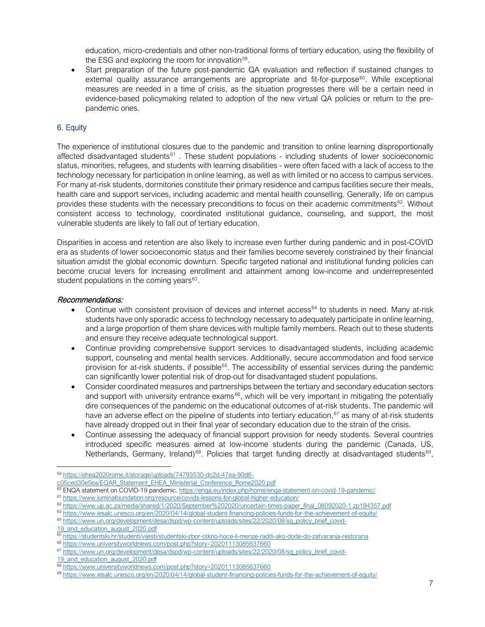education, micro-credentials and other non-traditional forms of tertiary education, using the flexibility of the ESG and exploring the room for innovation $59$ .

Start preparation of the future post-pandemic QA evaluation and reflection if sustained changes to external quality assurance arrangements are appropriate and fit-for-purpose<sup>[60](#page-6-1)</sup>. While exceptional measures are needed in a time of crisis, as the situation progresses there will be a certain need in evidence-based policymaking related to adoption of the new virtual QA policies or return to the prepandemic ones.

# 6. Equity

The experience of institutional closures due to the pandemic and transition to online learning disproportionally affected disadvantaged students<sup>[61](#page-6-2)</sup>. These student populations - including students of lower socioeconomic status, minorities, refugees, and students with learning disabilities - were often faced with a lack of access to the technology necessary for participation in online learning, as well as with limited or no access to campus services. For many at-risk students, dormitories constitute their primary residence and campus facilities secure their meals, health care and support services, including academic and mental health counselling. Generally, life on campus provides these students with the necessary preconditions to focus on their academic commitments<sup>62</sup>. Without consistent access to technology, coordinated institutional guidance, counseling, and support, the most vulnerable students are likely to fall out of tertiary education.

Disparities in access and retention are also likely to increase even further during pandemic and in post-COVID era as students of lower socioeconomic status and their families become severely constrained by their financial situation amidst the global economic downturn. Specific targeted national and institutional funding policies can become crucial levers for increasing enrollment and attainment among low-income and underrepresented student populations in the coming years $63$ .

#### Recommendations:

- Continue with consistent provision of devices and internet access<sup>[64](#page-6-5)</sup> to students in need. Many at-risk students have only sporadic access to technology necessary to adequately participate in online learning, and a large proportion of them share devices with multiple family members. Reach out to these students and ensure they receive adequate technological support.
- Continue providing comprehensive support services to disadvantaged students, including academic support, counseling and mental health services. Additionally, secure accommodation and food service provision for at-risk students, if possible<sup>[65](#page-6-6)</sup>. The accessibility of essential services during the pandemic can significantly lower potential risk of drop-out for disadvantaged student populations.
- Consider coordinated measures and partnerships between the tertiary and secondary education sectors and support with university entrance exams<sup>[66](#page-6-7)</sup>, which will be very important in mitigating the potentially dire consequences of the pandemic on the educational outcomes of at-risk students. The pandemic will have an adverse effect on the pipeline of students into tertiary education,  $67$  as many of at-risk students have already dropped out in their final year of secondary education due to the strain of the crisis.
- Continue assessing the adequacy of financial support provision for needy students. Several countries introduced specific measures aimed at low-income students during the pandemic (Canada, US, Netherlands, Germany, Ireland)<sup>68</sup>. Policies that target funding directly at disadvantaged students<sup>[69](#page-6-10)</sup>,

<span id="page-6-4"></span>63 <https://www.iesalc.unesco.org/en/2020/04/14/global-student-financing-policies-funds-for-the-achievement-of-equity/> 64 [https://www.un.org/development/desa/dspd/wp-content/uploads/sites/22/2020/08/sg\\_policy\\_brief\\_covid-](https://www.un.org/development/desa/dspd/wp-content/uploads/sites/22/2020/08/sg_policy_brief_covid-19_and_education_august_2020.pdf)

<span id="page-6-5"></span>[19\\_and\\_education\\_august\\_2020.pdf](https://www.un.org/development/desa/dspd/wp-content/uploads/sites/22/2020/08/sg_policy_brief_covid-19_and_education_august_2020.pdf)

[19\\_and\\_education\\_august\\_2020.pdf](https://www.un.org/development/desa/dspd/wp-content/uploads/sites/22/2020/08/sg_policy_brief_covid-19_and_education_august_2020.pdf)

<span id="page-6-0"></span><sup>59</sup> [https://ehea2020rome.it/storage/uploads/74793530-dc2d-47ea-90d6-](https://ehea2020rome.it/storage/uploads/74793530-dc2d-47ea-90d6-c05ced30e5ea/EQAR_Statement_EHEA_Ministerial_Conference_Rome2020.pdf)

[c05ced30e5ea/EQAR\\_Statement\\_EHEA\\_Ministerial\\_Conference\\_Rome2020.pdf](https://ehea2020rome.it/storage/uploads/74793530-dc2d-47ea-90d6-c05ced30e5ea/EQAR_Statement_EHEA_Ministerial_Conference_Rome2020.pdf)

<sup>&</sup>lt;sup>60</sup> ENQA statement on COVID-19 pandemic[. https://enqa.eu/index.php/home/enqa-statement-on-covid-19-pandemic/](https://enqa.eu/index.php/home/enqa-statement-on-covid-19-pandemic/)

<span id="page-6-2"></span><span id="page-6-1"></span><sup>61</sup> <https://www.luminafoundation.org/resource/covids-lessons-for-global-higher-education/>

<span id="page-6-3"></span><sup>62</sup> [https://www.up.ac.za/media/shared/1/2020/September%202020/uncertain-times-paper\\_final\\_08092020-1.zp194357.pdf](https://www.up.ac.za/media/shared/1/2020/September%202020/uncertain-times-paper_final_08092020-1.zp194357.pdf)

<sup>65</sup> <https://studentski.hr/studenti/vijesti/studentski-zbor-otkrio-hoce-li-menze-raditi-ako-dode-do-zatvaranja-restorana>

<span id="page-6-7"></span><span id="page-6-6"></span><sup>66</sup> <https://www.universityworldnews.com/post.php?story=20201113085637660>

<span id="page-6-8"></span><sup>67</sup> [https://www.un.org/development/desa/dspd/wp-content/uploads/sites/22/2020/08/sg\\_policy\\_brief\\_covid-](https://www.un.org/development/desa/dspd/wp-content/uploads/sites/22/2020/08/sg_policy_brief_covid-19_and_education_august_2020.pdf)

<span id="page-6-9"></span><sup>68</sup> <https://www.universityworldnews.com/post.php?story=20201113085637660>

<span id="page-6-10"></span><sup>69</sup> <https://www.iesalc.unesco.org/en/2020/04/14/global-student-financing-policies-funds-for-the-achievement-of-equity/>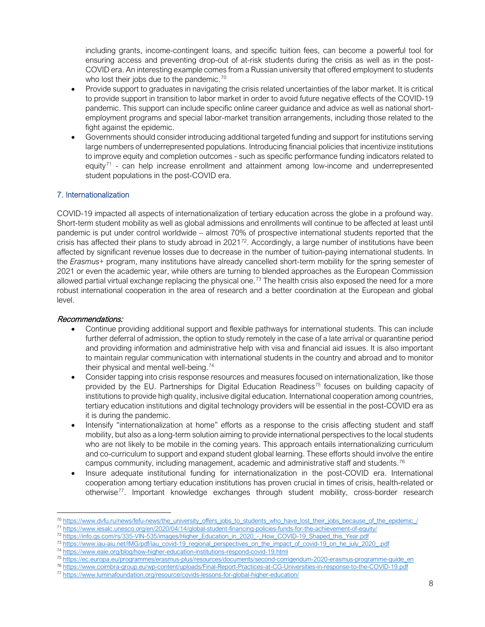including grants, income-contingent loans, and specific tuition fees, can become a powerful tool for ensuring access and preventing drop-out of at-risk students during the crisis as well as in the post-COVID era. An interesting example comes from a Russian university that offered employment to students who lost their jobs due to the pandemic.<sup>[70](#page-7-0)</sup>

- Provide support to graduates in navigating the crisis related uncertainties of the labor market. It is critical to provide support in transition to labor market in order to avoid future negative effects of the COVID-19 pandemic. This support can include specific online career guidance and advice as well as national shortemployment programs and special labor-market transition arrangements, including those related to the fight against the epidemic.
- Governments should consider introducing additional targeted funding and support for institutions serving large numbers of underrepresented populations. Introducing financial policies that incentivize institutions to improve equity and completion outcomes - such as specific performance funding indicators related to equity $71$  - can help increase enrollment and attainment among low-income and underrepresented student populations in the post-COVID era.

# 7. Internationalization

COVID-19 impacted all aspects of internationalization of tertiary education across the globe in a profound way. Short-term student mobility as well as global admissions and enrollments will continue to be affected at least until pandemic is put under control worldwide – almost 70% of prospective international students reported that the crisis has affected their plans to study abroad in 2021<sup>72</sup>. Accordingly, a large number of institutions have been affected by significant revenue losses due to decrease in the number of tuition-paying international students. In the *Erasmus+* program, many institutions have already cancelled short-term mobility for the spring semester of 2021 or even the academic year, while others are turning to blended approaches as the European Commission allowed partial virtual exchange replacing the physical one.<sup>[73](#page-7-3)</sup> The health crisis also exposed the need for a more robust international cooperation in the area of research and a better coordination at the European and global level.

- Continue providing additional support and flexible pathways for international students. This can include further deferral of admission, the option to study remotely in the case of a late arrival or quarantine period and providing information and administrative help with visa and financial aid issues. It is also important to maintain regular communication with international students in the country and abroad and to monitor their physical and mental well-being.<sup>[74](#page-7-4)</sup>
- Consider tapping into crisis response resources and measures focused on internationalization, like those provided by the EU. Partnerships for Digital Education Readiness<sup>[75](#page-7-5)</sup> focuses on building capacity of institutions to provide high quality, inclusive digital education. International cooperation among countries, tertiary education institutions and digital technology providers will be essential in the post-COVID era as it is during the pandemic.
- Intensify "internationalization at home" efforts as a response to the crisis affecting student and staff mobility, but also as a long-term solution aiming to provide international perspectives to the local students who are not likely to be mobile in the coming years. This approach entails internationalizing curriculum and co-curriculum to support and expand student global learning. These efforts should involve the entire campus community, including management, academic and administrative staff and students.<sup>[76](#page-7-6)</sup>
- Insure adequate institutional funding for internationalization in the post-COVID era. International cooperation among tertiary education institutions has proven crucial in times of crisis, health-related or otherwise[77](#page-7-7). Important knowledge exchanges through student mobility, cross-border research

<span id="page-7-0"></span><sup>&</sup>lt;sup>70</sup> [https://www.dvfu.ru/news/fefu-news/the\\_university\\_offers\\_jobs\\_to\\_students\\_who\\_have\\_lost\\_their\\_jobs\\_because\\_of\\_the\\_epidemic\\_/](https://www.dvfu.ru/news/fefu-news/the_university_offers_jobs_to_students_who_have_lost_their_jobs_because_of_the_epidemic_/)

<span id="page-7-1"></span><sup>71</sup> <https://www.iesalc.unesco.org/en/2020/04/14/global-student-financing-policies-funds-for-the-achievement-of-equity/>

<span id="page-7-2"></span><sup>72</sup> [https://info.qs.com/rs/335-VIN-535/images/Higher\\_Education\\_in\\_2020\\_-\\_How\\_COVID-19\\_Shaped\\_this\\_Year.pdf](https://info.qs.com/rs/335-VIN-535/images/Higher_Education_in_2020_-_How_COVID-19_Shaped_this_Year.pdf)

<span id="page-7-3"></span><sup>73</sup> [https://www.iau-aiu.net/IMG/pdf/iau\\_covid-19\\_regional\\_perspectives\\_on\\_the\\_impact\\_of\\_covid-19\\_on\\_he\\_july\\_2020\\_.pdf](https://www.iau-aiu.net/IMG/pdf/iau_covid-19_regional_perspectives_on_the_impact_of_covid-19_on_he_july_2020_.pdf)

<span id="page-7-4"></span><sup>74</sup> <https://www.eaie.org/blog/how-higher-education-institutions-respond-covid-19.html>

<span id="page-7-5"></span><sup>75</sup> [https://ec.europa.eu/programmes/erasmus-plus/resources/documents/second-corrigendum-2020-erasmus-programme-guide\\_en](https://ec.europa.eu/programmes/erasmus-plus/resources/documents/second-corrigendum-2020-erasmus-programme-guide_en)

<span id="page-7-6"></span><sup>76</sup> <https://www.coimbra-group.eu/wp-content/uploads/Final-Report-Practices-at-CG-Universities-in-response-to-the-COVID-19.pdf>

<span id="page-7-7"></span><sup>77</sup> <https://www.luminafoundation.org/resource/covids-lessons-for-global-higher-education/>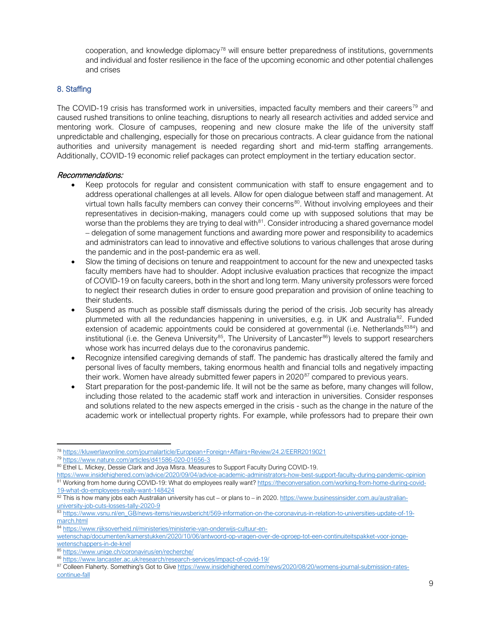cooperation, and knowledge diplomacy<sup>[78](#page-8-0)</sup> will ensure better preparedness of institutions, governments and individual and foster resilience in the face of the upcoming economic and other potential challenges and crises

# 8. Staffing

The COVID-19 crisis has transformed work in universities, impacted faculty members and their careers<sup>[79](#page-8-1)</sup> and caused rushed transitions to online teaching, disruptions to nearly all research activities and added service and mentoring work. Closure of campuses, reopening and new closure make the life of the university staff unpredictable and challenging, especially for those on precarious contracts. A clear guidance from the national authorities and university management is needed regarding short and mid-term staffing arrangements. Additionally, COVID-19 economic relief packages can protect employment in the tertiary education sector.

- Keep protocols for regular and consistent communication with staff to ensure engagement and to address operational challenges at all levels. Allow for open dialogue between staff and management. At virtual town halls faculty members can convey their concerns $80$ . Without involving employees and their representatives in decision-making, managers could come up with supposed solutions that may be worse than the problems they are trying to deal with $81$ . Consider introducing a shared governance model – delegation of some management functions and awarding more power and responsibility to academics and administrators can lead to innovative and effective solutions to various challenges that arose during the pandemic and in the post-pandemic era as well.
- Slow the timing of decisions on tenure and reappointment to account for the new and unexpected tasks faculty members have had to shoulder. Adopt inclusive evaluation practices that recognize the impact of COVID-19 on faculty careers, both in the short and long term. Many university professors were forced to neglect their research duties in order to ensure good preparation and provision of online teaching to their students.
- Suspend as much as possible staff dismissals during the period of the crisis. Job security has already plummeted with all the redundancies happening in universities, e.g. in UK and Australia<sup>82</sup>. Funded extension of academic appointments could be considered at governmental (i.e. Netherlands<sup>[83](#page-8-5)[84](#page-8-6)</sup>) and institutional (i.e. the Geneva University<sup>85</sup>, The University of Lancaster<sup>[86](#page-8-8)</sup>) levels to support researchers whose work has incurred delays due to the coronavirus pandemic.
- Recognize intensified caregiving demands of staff. The pandemic has drastically altered the family and personal lives of faculty members, taking enormous health and financial tolls and negatively impacting their work. Women have already submitted fewer papers in  $2020^{87}$  $2020^{87}$  $2020^{87}$  compared to previous years.
- Start preparation for the post-pandemic life. It will not be the same as before, many changes will follow, including those related to the academic staff work and interaction in universities. Consider responses and solutions related to the new aspects emerged in the crisis - such as the change in the nature of the academic work or intellectual property rights. For example, while professors had to prepare their own

<span id="page-8-0"></span><sup>78</sup> <https://kluwerlawonline.com/journalarticle/European+Foreign+Affairs+Review/24.2/EERR2019021>

<span id="page-8-1"></span><sup>79</sup> <https://www.nature.com/articles/d41586-020-01656-3>

<sup>80</sup> Ethel L. Mickey, Dessie Clark and Joya Misra. Measures to Support Faculty During COVID-19.

<span id="page-8-3"></span><span id="page-8-2"></span><https://www.insidehighered.com/advice/2020/09/04/advice-academic-administrators-how-best-support-faculty-during-pandemic-opinion> <sup>81</sup> Working from home during COVID-19: What do employees really want[? https://theconversation.com/working-from-home-during-covid-](https://theconversation.com/working-from-home-during-covid-19-what-do-employees-really-want-148424)[19-what-do-employees-really-want-148424](https://theconversation.com/working-from-home-during-covid-19-what-do-employees-really-want-148424)

<span id="page-8-4"></span> $82$  This is how many jobs each Australian university has cut – or plans to – in 2020. [https://www.businessinsider.com.au/australian](https://www.businessinsider.com.au/australian-university-job-cuts-losses-tally-2020-9)[university-job-cuts-losses-tally-2020-9](https://www.businessinsider.com.au/australian-university-job-cuts-losses-tally-2020-9)

<span id="page-8-5"></span><sup>83</sup> [https://www.vsnu.nl/en\\_GB/news-items/nieuwsbericht/569-information-on-the-coronavirus-in-relation-to-universities-update-of-19](https://www.vsnu.nl/en_GB/news-items/nieuwsbericht/569-information-on-the-coronavirus-in-relation-to-universities-update-of-19-march.html) [march.html](https://www.vsnu.nl/en_GB/news-items/nieuwsbericht/569-information-on-the-coronavirus-in-relation-to-universities-update-of-19-march.html)

<sup>84</sup> [https://www.rijksoverheid.nl/ministeries/ministerie-van-onderwijs-cultuur-en-](https://www.rijksoverheid.nl/ministeries/ministerie-van-onderwijs-cultuur-en-wetenschap/documenten/kamerstukken/2020/10/06/antwoord-op-vragen-over-de-oproep-tot-een-continuiteitspakket-voor-jonge-wetenschappers-in-de-knel)

<span id="page-8-6"></span>[wetenschap/documenten/kamerstukken/2020/10/06/antwoord-op-vragen-over-de-oproep-tot-een-continuiteitspakket-voor-jonge](https://www.rijksoverheid.nl/ministeries/ministerie-van-onderwijs-cultuur-en-wetenschap/documenten/kamerstukken/2020/10/06/antwoord-op-vragen-over-de-oproep-tot-een-continuiteitspakket-voor-jonge-wetenschappers-in-de-knel)[wetenschappers-in-de-knel](https://www.rijksoverheid.nl/ministeries/ministerie-van-onderwijs-cultuur-en-wetenschap/documenten/kamerstukken/2020/10/06/antwoord-op-vragen-over-de-oproep-tot-een-continuiteitspakket-voor-jonge-wetenschappers-in-de-knel)

<span id="page-8-7"></span><sup>85</sup> <https://www.unige.ch/coronavirus/en/recherche/>

<span id="page-8-8"></span><sup>86</sup> <https://www.lancaster.ac.uk/research/research-services/impact-of-covid-19/>

<span id="page-8-9"></span><sup>87</sup> Colleen Flaherty. Something's Got to Giv[e https://www.insidehighered.com/news/2020/08/20/womens-journal-submission-rates](https://www.insidehighered.com/news/2020/08/20/womens-journal-submission-rates-continue-fall)[continue-fall](https://www.insidehighered.com/news/2020/08/20/womens-journal-submission-rates-continue-fall)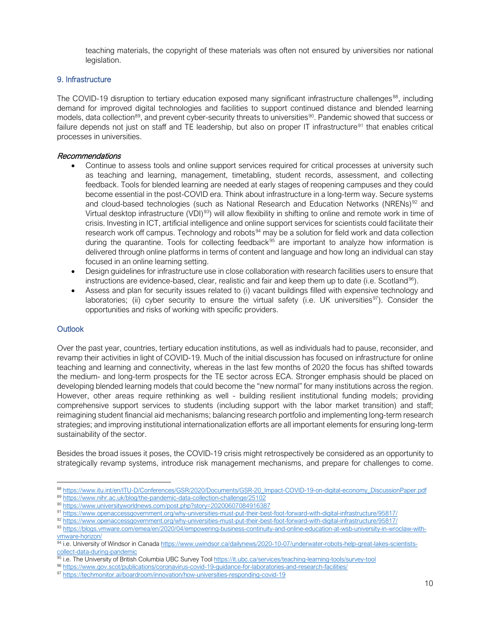teaching materials, the copyright of these materials was often not ensured by universities nor national legislation.

#### 9. Infrastructure

The COVID-19 disruption to tertiary education exposed many significant infrastructure challenges<sup>88</sup>, including demand for improved digital technologies and facilities to support continued distance and blended learning models, data collection<sup>[89](#page-9-1)</sup>, and prevent cyber-security threats to universities<sup>[90](#page-9-2)</sup>. Pandemic showed that success or failure depends not just on staff and TE leadership, but also on proper IT infrastructure<sup>[91](#page-9-3)</sup> that enables critical processes in universities.

#### Recommendations

- Continue to assess tools and online support services required for critical processes at university such as teaching and learning, management, timetabling, student records, assessment, and collecting feedback. Tools for blended learning are needed at early stages of reopening campuses and they could become essential in the post-COVID era. Think about infrastructure in a long-term way. Secure systems and cloud-based technologies (such as National Research and Education Networks (NRENs)<sup>[92](#page-9-4)</sup> and Virtual desktop infrastructure (VDI)<sup>[93](#page-9-5)</sup>) will allow flexibility in shifting to online and remote work in time of crisis. Investing in ICT, artificial intelligence and online support services for scientists could facilitate their research work off campus. Technology and robots<sup>[94](#page-9-6)</sup> may be a solution for field work and data collection during the quarantine. Tools for collecting feedback<sup>[95](#page-9-7)</sup> are important to analyze how information is delivered through online platforms in terms of content and language and how long an individual can stay focused in an online learning setting.
- Design guidelines for infrastructure use in close collaboration with research facilities users to ensure that instructions are evidence-based, clear, realistic and fair and keep them up to date (i.e. Scotland<sup>96</sup>).
- Assess and plan for security issues related to (i) vacant buildings filled with expensive technology and laboratories; (ii) cyber security to ensure the virtual safety (i.e. UK universities<sup>97</sup>). Consider the opportunities and risks of working with specific providers.

## **Outlook**

Over the past year, countries, tertiary education institutions, as well as individuals had to pause, reconsider, and revamp their activities in light of COVID-19. Much of the initial discussion has focused on infrastructure for online teaching and learning and connectivity, whereas in the last few months of 2020 the focus has shifted towards the medium- and long-term prospects for the TE sector across ECA. Stronger emphasis should be placed on developing blended learning models that could become the "new normal" for many institutions across the region. However, other areas require rethinking as well - building resilient institutional funding models; providing comprehensive support services to students (including support with the labor market transition) and staff; reimagining student financial aid mechanisms; balancing research portfolio and implementing long-term research strategies; and improving institutional internationalization efforts are all important elements for ensuring long-term sustainability of the sector.

Besides the broad issues it poses, the COVID-19 crisis might retrospectively be considered as an opportunity to strategically revamp systems, introduce risk management mechanisms, and prepare for challenges to come.

<span id="page-9-1"></span><span id="page-9-0"></span><sup>88</sup> [https://www.itu.int/en/ITU-D/Conferences/GSR/2020/Documents/GSR-20\\_Impact-COVID-19-on-digital-economy\\_DiscussionPaper.pdf](https://www.itu.int/en/ITU-D/Conferences/GSR/2020/Documents/GSR-20_Impact-COVID-19-on-digital-economy_DiscussionPaper.pdf) 89 <https://www.nihr.ac.uk/blog/the-pandemic-data-collection-challenge/25102>

<sup>90</sup> <https://www.universityworldnews.com/post.php?story=20200607084916387>

<span id="page-9-3"></span><span id="page-9-2"></span><sup>91</sup> <https://www.openaccessgovernment.org/why-universities-must-put-their-best-foot-forward-with-digital-infrastructure/95817/>

<span id="page-9-4"></span><sup>92</sup> <https://www.openaccessgovernment.org/why-universities-must-put-their-best-foot-forward-with-digital-infrastructure/95817/>

<span id="page-9-5"></span><sup>93</sup> [https://blogs.vmware.com/emea/en/2020/04/empowering-business-continuity-and-online-education-at-wsb-university-in-wroclaw-with-](https://blogs.vmware.com/emea/en/2020/04/empowering-business-continuity-and-online-education-at-wsb-university-in-wroclaw-with-vmware-horizon/)

[vmware-horizon/](https://blogs.vmware.com/emea/en/2020/04/empowering-business-continuity-and-online-education-at-wsb-university-in-wroclaw-with-vmware-horizon/)

<span id="page-9-6"></span><sup>94</sup> i.e. University of Windsor in Canad[a https://www.uwindsor.ca/dailynews/2020-10-07/underwater-robots-help-great-lakes-scientists](https://www.uwindsor.ca/dailynews/2020-10-07/underwater-robots-help-great-lakes-scientists-collect-data-during-pandemic)[collect-data-during-pandemic](https://www.uwindsor.ca/dailynews/2020-10-07/underwater-robots-help-great-lakes-scientists-collect-data-during-pandemic)

<span id="page-9-7"></span><sup>95</sup> i.e. The University of British Columbia UBC Survey Tool https://it.ubc.ca/services/teaching-learning-tools/survey-tool<br>96 https://www.gov.scot/publications/coronavirus-covid-19-guidance-for-laboratories-and-research-fac

<span id="page-9-8"></span>

<span id="page-9-9"></span><sup>97</sup> <https://techmonitor.ai/boardroom/innovation/how-universities-responding-covid-19>